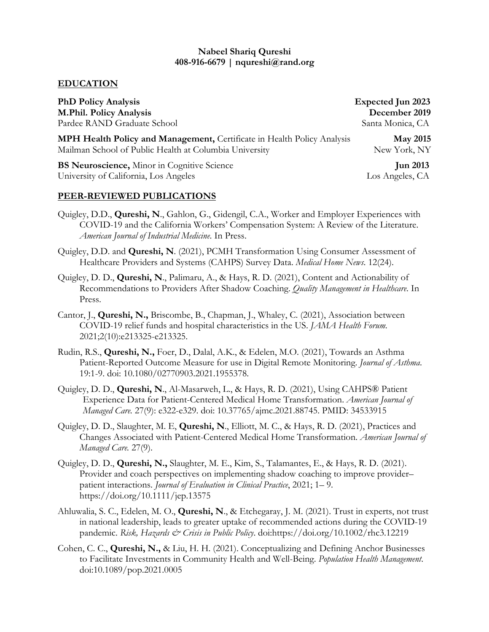#### **Nabeel Shariq Qureshi 408-916-6679 | nqureshi@rand.org**

#### **EDUCATION**

**PhD Policy Analysis** Expected Jun 2023 **M.Phil. Policy Analysis December 2019** Pardee RAND Graduate School Santa Monica, CA

**MPH Health Policy and Management,** Certificate in Health Policy Analysis **May 2015** Mailman School of Public Health at Columbia University New York, NY

**BS Neuroscience,** Minor in Cognitive Science **Jun 2013** University of California, Los Angeles Los Angeles, CA

#### **PEER-REVIEWED PUBLICATIONS**

- Quigley, D.D., **Qureshi, N**., Gahlon, G., Gidengil, C.A., Worker and Employer Experiences with COVID-19 and the California Workers' Compensation System: A Review of the Literature. *American Journal of Industrial Medicine*. In Press.
- Quigley, D.D. and **Qureshi, N**. (2021), PCMH Transformation Using Consumer Assessment of Healthcare Providers and Systems (CAHPS) Survey Data. *Medical Home News*. 12(24).
- Quigley, D. D., **Qureshi, N**., Palimaru, A., & Hays, R. D. (2021), Content and Actionability of Recommendations to Providers After Shadow Coaching. *Quality Management in Healthcare*. In Press.
- Cantor, J., **Qureshi, N.,** Briscombe, B., Chapman, J., Whaley, C. (2021), Association between COVID-19 relief funds and hospital characteristics in the US. *JAMA Health Forum*. 2021;2(10):e213325-e213325.
- Rudin, R.S., **Qureshi, N.,** Foer, D., Dalal, A.K., & Edelen, M.O. (2021), Towards an Asthma Patient-Reported Outcome Measure for use in Digital Remote Monitoring. *Journal of Asthma*. 19:1-9. doi: 10.1080/02770903.2021.1955378.
- Quigley, D. D., **Qureshi, N**., Al-Masarweh, L., & Hays, R. D. (2021), Using CAHPS® Patient Experience Data for Patient-Centered Medical Home Transformation. *American Journal of Managed Care.* 27(9): e322-e329. doi: 10.37765/ajmc.2021.88745. PMID: 34533915
- Quigley, D. D., Slaughter, M. E, **Qureshi, N**., Elliott, M. C., & Hays, R. D. (2021), Practices and Changes Associated with Patient-Centered Medical Home Transformation. *American Journal of Managed Care.* 27(9).
- Quigley, D. D., **Qureshi, N.,** Slaughter, M. E., Kim, S., Talamantes, E., & Hays, R. D. (2021). Provider and coach perspectives on implementing shadow coaching to improve provider– patient interactions. *Journal of Evaluation in Clinical Practice*, 2021; 1– 9. https://doi.org/10.1111/jep.13575
- Ahluwalia, S. C., Edelen, M. O., **Qureshi, N**., & Etchegaray, J. M. (2021). Trust in experts, not trust in national leadership, leads to greater uptake of recommended actions during the COVID-19 pandemic. *Risk, Hazards & Crisis in Public Policy*. doi:https://doi.org/10.1002/rhc3.12219
- Cohen, C. C., **Qureshi, N.,** & Liu, H. H. (2021). Conceptualizing and Defining Anchor Businesses to Facilitate Investments in Community Health and Well-Being. *Population Health Management*. doi:10.1089/pop.2021.0005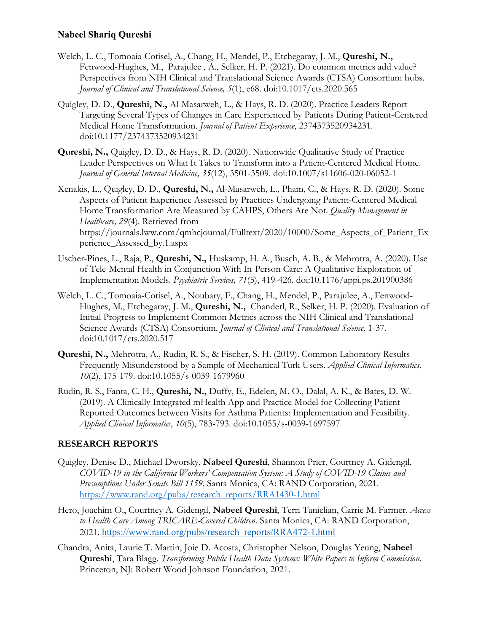- Welch, L. C., Tomoaia-Cotisel, A., Chang, H., Mendel, P., Etchegaray, J. M., **Qureshi, N.,** Fenwood-Hughes, M., Parajulee , A., Selker, H. P. (2021). Do common metrics add value? Perspectives from NIH Clinical and Translational Science Awards (CTSA) Consortium hubs. *Journal of Clinical and Translational Science, 5*(1), e68. doi:10.1017/cts.2020.565
- Quigley, D. D., **Qureshi, N.,** Al-Masarweh, L., & Hays, R. D. (2020). Practice Leaders Report Targeting Several Types of Changes in Care Experienced by Patients During Patient-Centered Medical Home Transformation. *Journal of Patient Experience*, 2374373520934231. doi:10.1177/2374373520934231
- **Qureshi, N.,** Quigley, D. D., & Hays, R. D. (2020). Nationwide Qualitative Study of Practice Leader Perspectives on What It Takes to Transform into a Patient-Centered Medical Home. *Journal of General Internal Medicine, 35*(12), 3501-3509. doi:10.1007/s11606-020-06052-1
- Xenakis, L., Quigley, D. D., **Qureshi, N.,** Al-Masarweh, L., Pham, C., & Hays, R. D. (2020). Some Aspects of Patient Experience Assessed by Practices Undergoing Patient-Centered Medical Home Transformation Are Measured by CAHPS, Others Are Not. *Quality Management in Healthcare, 29*(4). Retrieved from https://journals.lww.com/qmhcjournal/Fulltext/2020/10000/Some\_Aspects\_of\_Patient\_Ex perience\_Assessed\_by.1.aspx
- Uscher-Pines, L., Raja, P., **Qureshi, N.,** Huskamp, H. A., Busch, A. B., & Mehrotra, A. (2020). Use of Tele-Mental Health in Conjunction With In-Person Care: A Qualitative Exploration of Implementation Models. *Psychiatric Services, 71*(5), 419-426. doi:10.1176/appi.ps.201900386
- Welch, L. C., Tomoaia-Cotisel, A., Noubary, F., Chang, H., Mendel, P., Parajulee, A., Fenwood-Hughes, M., Etchegaray, J. M., **Qureshi, N.,** Chanderl, R., Selker, H. P. (2020). Evaluation of Initial Progress to Implement Common Metrics across the NIH Clinical and Translational Science Awards (CTSA) Consortium. *Journal of Clinical and Translational Science*, 1-37. doi:10.1017/cts.2020.517
- **Qureshi, N.,** Mehrotra, A., Rudin, R. S., & Fischer, S. H. (2019). Common Laboratory Results Frequently Misunderstood by a Sample of Mechanical Turk Users. *Applied Clinical Informatics, 10*(2), 175-179. doi:10.1055/s-0039-1679960
- Rudin, R. S., Fanta, C. H., **Qureshi, N.,** Duffy, E., Edelen, M. O., Dalal, A. K., & Bates, D. W. (2019). A Clinically Integrated mHealth App and Practice Model for Collecting Patient-Reported Outcomes between Visits for Asthma Patients: Implementation and Feasibility. *Applied Clinical Informatics, 10*(5), 783-793. doi:10.1055/s-0039-1697597

# **RESEARCH REPORTS**

- Quigley, Denise D., Michael Dworsky, **Nabeel Qureshi**, Shannon Prier, Courtney A. Gidengil. *COVID-19 in the California Workers' Compensation System: A Study of COVID-19 Claims and Presumptions Under Senate Bill 1159.* Santa Monica, CA: RAND Corporation, 2021. https://www.rand.org/pubs/research\_reports/RRA1430-1.html
- Hero, Joachim O., Courtney A. Gidengil, **Nabeel Qureshi**, Terri Tanielian, Carrie M. Farmer. *Access to Health Care Among TRICARE-Covered Children*. Santa Monica, CA: RAND Corporation, 2021. https://www.rand.org/pubs/research\_reports/RRA472-1.html
- Chandra, Anita, Laurie T. Martin, Joie D. Acosta, Christopher Nelson, Douglas Yeung, **Nabeel Qureshi**, Tara Blagg. *Transforming Public Health Data Systems: White Papers to Inform Commission*. Princeton, NJ: Robert Wood Johnson Foundation, 2021.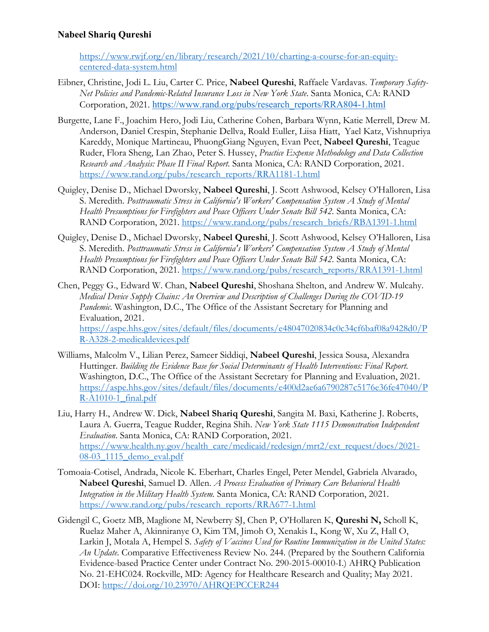https://www.rwjf.org/en/library/research/2021/10/charting-a-course-for-an-equitycentered-data-system.html

- Eibner, Christine, Jodi L. Liu, Carter C. Price, **Nabeel Qureshi**, Raffaele Vardavas. *Temporary Safety-Net Policies and Pandemic-Related Insurance Loss in New York State*. Santa Monica, CA: RAND Corporation, 2021. https://www.rand.org/pubs/research\_reports/RRA804-1.html
- Burgette, Lane F., Joachim Hero, Jodi Liu, Catherine Cohen, Barbara Wynn, Katie Merrell, Drew M. Anderson, Daniel Crespin, Stephanie Dellva, Roald Euller, Liisa Hiatt, Yael Katz, Vishnupriya Kareddy, Monique Martineau, PhuongGiang Nguyen, Evan Peet, **Nabeel Qureshi**, Teague Ruder, Flora Sheng, Lan Zhao, Peter S. Hussey, *Practice Expense Methodology and Data Collection Research and Analysis: Phase II Final Report*. Santa Monica, CA: RAND Corporation, 2021. https://www.rand.org/pubs/research\_reports/RRA1181-1.html
- Quigley, Denise D., Michael Dworsky, **Nabeel Qureshi**, J. Scott Ashwood, Kelsey O'Halloren, Lisa S. Meredith. *Posttraumatic Stress in California's Workers' Compensation System A Study of Mental Health Presumptions for Firefighters and Peace Officers Under Senate Bill 542. Santa Monica, CA:* RAND Corporation, 2021. https://www.rand.org/pubs/research\_briefs/RBA1391-1.html
- Quigley, Denise D., Michael Dworsky, **Nabeel Qureshi**, J. Scott Ashwood, Kelsey O'Halloren, Lisa S. Meredith. *Posttraumatic Stress in California's Workers' Compensation System A Study of Mental*  Health Presumptions for Firefighters and Peace Officers Under Senate Bill 542. Santa Monica, CA: RAND Corporation, 2021. https://www.rand.org/pubs/research\_reports/RRA1391-1.html
- Chen, Peggy G., Edward W. Chan, **Nabeel Qureshi**, Shoshana Shelton, and Andrew W. Mulcahy. *Medical Device Supply Chains: An Overview and Description of Challenges During the COVID-19 Pandemic*. Washington, D.C., The Office of the Assistant Secretary for Planning and Evaluation, 2021. https://aspe.hhs.gov/sites/default/files/documents/e48047020834c0c34cf6baf08a9428d0/P R-A328-2-medicaldevices.pdf
- Williams, Malcolm V., Lilian Perez, Sameer Siddiqi, **Nabeel Qureshi**, Jessica Sousa, Alexandra Huttinger. *Building the Evidence Base for Social Determinants of Health Interventions: Final Report*. Washington, D.C., The Office of the Assistant Secretary for Planning and Evaluation, 2021. https://aspe.hhs.gov/sites/default/files/documents/e400d2ae6a6790287c5176e36fe47040/P R-A1010-1\_final.pdf
- Liu, Harry H., Andrew W. Dick, **Nabeel Shariq Qureshi**, Sangita M. Baxi, Katherine J. Roberts, Laura A. Guerra, Teague Rudder, Regina Shih. *New York State 1115 Demonstration Independent Evaluation*. Santa Monica, CA: RAND Corporation, 2021. https://www.health.ny.gov/health\_care/medicaid/redesign/mrt2/ext\_request/docs/2021-08-03\_1115\_demo\_eval.pdf
- Tomoaia-Cotisel, Andrada, Nicole K. Eberhart, Charles Engel, Peter Mendel, Gabriela Alvarado, **Nabeel Qureshi**, Samuel D. Allen. *A Process Evaluation of Primary Care Behavioral Health Integration in the Military Health System.* Santa Monica, CA: RAND Corporation, 2021. https://www.rand.org/pubs/research\_reports/RRA677-1.html
- Gidengil C, Goetz MB, Maglione M, Newberry SJ, Chen P, O'Hollaren K, **Qureshi N,** Scholl K, Ruelaz Maher A, Akinniranye O, Kim TM, Jimoh O, Xenakis L, Kong W, Xu Z, Hall O, Larkin J, Motala A, Hempel S. *Safety of Vaccines Used for Routine Immunization in the United States: An Update*. Comparative Effectiveness Review No. 244. (Prepared by the Southern California Evidence-based Practice Center under Contract No. 290-2015-00010-I.) AHRQ Publication No. 21-EHC024. Rockville, MD: Agency for Healthcare Research and Quality; May 2021. DOI: https://doi.org/10.23970/AHRQEPCCER244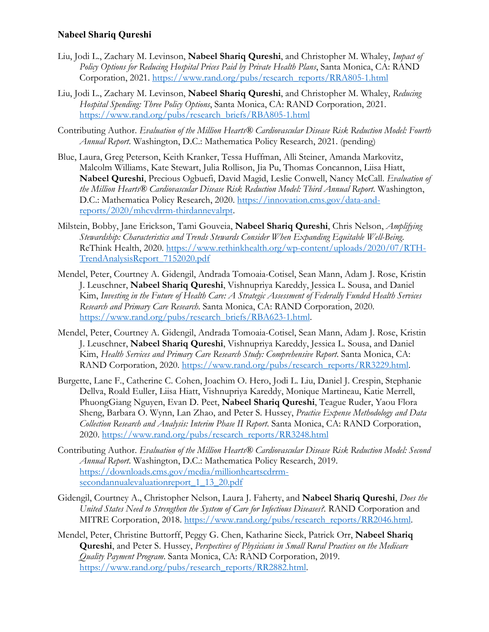- Liu, Jodi L., Zachary M. Levinson, **Nabeel Shariq Qureshi**, and Christopher M. Whaley, *Impact of Policy Options for Reducing Hospital Prices Paid by Private Health Plans*, Santa Monica, CA: RAND Corporation, 2021. https://www.rand.org/pubs/research\_reports/RRA805-1.html
- Liu, Jodi L., Zachary M. Levinson, **Nabeel Shariq Qureshi**, and Christopher M. Whaley, *Reducing Hospital Spending: Three Policy Options*, Santa Monica, CA: RAND Corporation, 2021. https://www.rand.org/pubs/research\_briefs/RBA805-1.html
- Contributing Author. *Evaluation of the Million Hearts® Cardiovascular Disease Risk Reduction Model: Fourth Annual Report*. Washington, D.C.: Mathematica Policy Research, 2021. (pending)
- Blue, Laura, Greg Peterson, Keith Kranker, Tessa Huffman, Alli Steiner, Amanda Markovitz, Malcolm Williams, Kate Stewart, Julia Rollison, Jia Pu, Thomas Concannon, Liisa Hiatt, **Nabeel Qureshi**, Precious Ogbuefi, David Magid, Leslie Conwell, Nancy McCall. *Evaluation of the Million Hearts® Cardiovascular Disease Risk Reduction Model: Third Annual Report*. Washington, D.C.: Mathematica Policy Research, 2020. https://innovation.cms.gov/data-andreports/2020/mhcvdrrm-thirdannevalrpt.
- Milstein, Bobby, Jane Erickson, Tami Gouveia, **Nabeel Shariq Qureshi**, Chris Nelson, *Amplifying Stewardship: Characteristics and Trends Stewards Consider When Expanding Equitable Well-Being*. ReThink Health, 2020. https://www.rethinkhealth.org/wp-content/uploads/2020/07/RTH-TrendAnalysisReport\_7152020.pdf
- Mendel, Peter, Courtney A. Gidengil, Andrada Tomoaia-Cotisel, Sean Mann, Adam J. Rose, Kristin J. Leuschner, **Nabeel Shariq Qureshi**, Vishnupriya Kareddy, Jessica L. Sousa, and Daniel Kim, *Investing in the Future of Health Care: A Strategic Assessment of Federally Funded Health Services Research and Primary Care Research*. Santa Monica, CA: RAND Corporation, 2020. https://www.rand.org/pubs/research\_briefs/RBA623-1.html.
- Mendel, Peter, Courtney A. Gidengil, Andrada Tomoaia-Cotisel, Sean Mann, Adam J. Rose, Kristin J. Leuschner, **Nabeel Shariq Qureshi**, Vishnupriya Kareddy, Jessica L. Sousa, and Daniel Kim, *Health Services and Primary Care Research Study: Comprehensive Report*. Santa Monica, CA: RAND Corporation, 2020. https://www.rand.org/pubs/research\_reports/RR3229.html.
- Burgette, Lane F., Catherine C. Cohen, Joachim O. Hero, Jodi L. Liu, Daniel J. Crespin, Stephanie Dellva, Roald Euller, Liisa Hiatt, Vishnupriya Kareddy, Monique Martineau, Katie Merrell, PhuongGiang Nguyen, Evan D. Peet, **Nabeel Shariq Qureshi**, Teague Ruder, Yaou Flora Sheng, Barbara O. Wynn, Lan Zhao, and Peter S. Hussey, *Practice Expense Methodology and Data Collection Research and Analysis: Interim Phase II Report*. Santa Monica, CA: RAND Corporation, 2020. https://www.rand.org/pubs/research\_reports/RR3248.html
- Contributing Author. *Evaluation of the Million Hearts® Cardiovascular Disease Risk Reduction Model: Second Annual Report*. Washington, D.C.: Mathematica Policy Research, 2019. https://downloads.cms.gov/media/millionheartscdrrmsecondannualevaluationreport\_1\_13\_20.pdf
- Gidengil, Courtney A., Christopher Nelson, Laura J. Faherty, and **Nabeel Shariq Qureshi**, *Does the United States Need to Strengthen the System of Care for Infectious Diseases?.* RAND Corporation and MITRE Corporation, 2018. https://www.rand.org/pubs/research\_reports/RR2046.html.
- Mendel, Peter, Christine Buttorff, Peggy G. Chen, Katharine Sieck, Patrick Orr, **Nabeel Shariq Qureshi**, and Peter S. Hussey, *Perspectives of Physicians in Small Rural Practices on the Medicare Quality Payment Program*. Santa Monica, CA: RAND Corporation, 2019. https://www.rand.org/pubs/research\_reports/RR2882.html.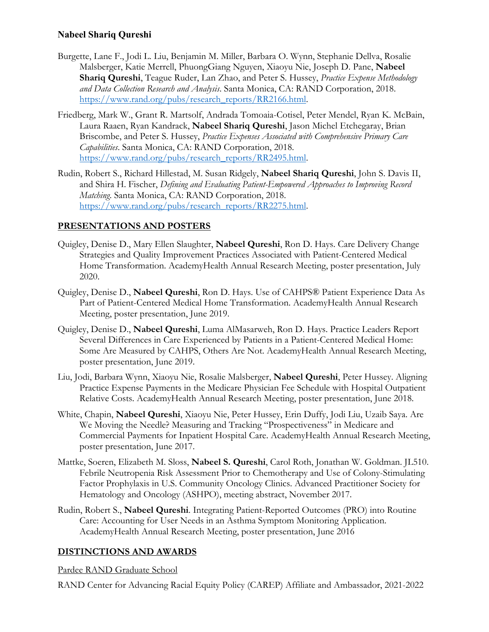- Burgette, Lane F., Jodi L. Liu, Benjamin M. Miller, Barbara O. Wynn, Stephanie Dellva, Rosalie Malsberger, Katie Merrell, PhuongGiang Nguyen, Xiaoyu Nie, Joseph D. Pane, **Nabeel Shariq Qureshi**, Teague Ruder, Lan Zhao, and Peter S. Hussey, *Practice Expense Methodology and Data Collection Research and Analysis*. Santa Monica, CA: RAND Corporation, 2018. https://www.rand.org/pubs/research\_reports/RR2166.html.
- Friedberg, Mark W., Grant R. Martsolf, Andrada Tomoaia-Cotisel, Peter Mendel, Ryan K. McBain, Laura Raaen, Ryan Kandrack, **Nabeel Shariq Qureshi**, Jason Michel Etchegaray, Brian Briscombe, and Peter S. Hussey, *Practice Expenses Associated with Comprehensive Primary Care Capabilities*. Santa Monica, CA: RAND Corporation, 2018. https://www.rand.org/pubs/research\_reports/RR2495.html.
- Rudin, Robert S., Richard Hillestad, M. Susan Ridgely, **Nabeel Shariq Qureshi**, John S. Davis II, and Shira H. Fischer, *Defining and Evaluating Patient-Empowered Approaches to Improving Record Matching*. Santa Monica, CA: RAND Corporation, 2018. https://www.rand.org/pubs/research\_reports/RR2275.html.

# **PRESENTATIONS AND POSTERS**

- Quigley, Denise D., Mary Ellen Slaughter, **Nabeel Qureshi**, Ron D. Hays. Care Delivery Change Strategies and Quality Improvement Practices Associated with Patient-Centered Medical Home Transformation. AcademyHealth Annual Research Meeting, poster presentation, July 2020.
- Quigley, Denise D., **Nabeel Qureshi**, Ron D. Hays. Use of CAHPS® Patient Experience Data As Part of Patient-Centered Medical Home Transformation. AcademyHealth Annual Research Meeting, poster presentation, June 2019.
- Quigley, Denise D., **Nabeel Qureshi**, Luma AlMasarweh, Ron D. Hays. Practice Leaders Report Several Differences in Care Experienced by Patients in a Patient-Centered Medical Home: Some Are Measured by CAHPS, Others Are Not. AcademyHealth Annual Research Meeting, poster presentation, June 2019.
- Liu, Jodi, Barbara Wynn, Xiaoyu Nie, Rosalie Malsberger, **Nabeel Qureshi**, Peter Hussey. Aligning Practice Expense Payments in the Medicare Physician Fee Schedule with Hospital Outpatient Relative Costs. AcademyHealth Annual Research Meeting, poster presentation, June 2018.
- White, Chapin, **Nabeel Qureshi**, Xiaoyu Nie, Peter Hussey, Erin Duffy, Jodi Liu, Uzaib Saya. Are We Moving the Needle? Measuring and Tracking "Prospectiveness" in Medicare and Commercial Payments for Inpatient Hospital Care. AcademyHealth Annual Research Meeting, poster presentation, June 2017.
- Mattke, Soeren, Elizabeth M. Sloss, **Nabeel S. Qureshi**, Carol Roth, Jonathan W. Goldman. JL510. Febrile Neutropenia Risk Assessment Prior to Chemotherapy and Use of Colony-Stimulating Factor Prophylaxis in U.S. Community Oncology Clinics. Advanced Practitioner Society for Hematology and Oncology (ASHPO), meeting abstract, November 2017.
- Rudin, Robert S., **Nabeel Qureshi**. Integrating Patient-Reported Outcomes (PRO) into Routine Care: Accounting for User Needs in an Asthma Symptom Monitoring Application. AcademyHealth Annual Research Meeting, poster presentation, June 2016

# **DISTINCTIONS AND AWARDS**

Pardee RAND Graduate School

RAND Center for Advancing Racial Equity Policy (CAREP) Affiliate and Ambassador, 2021-2022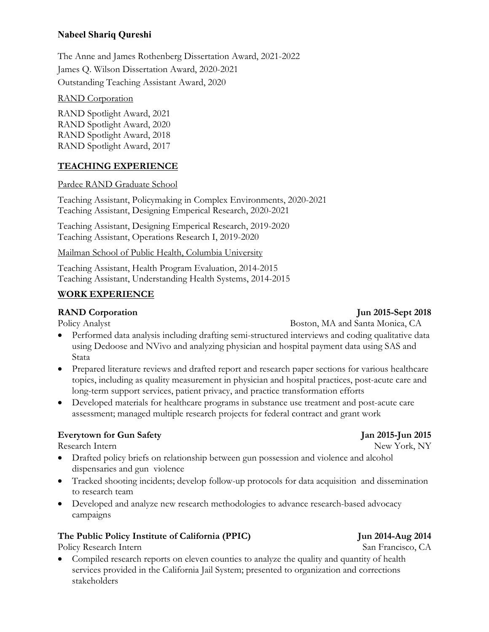The Anne and James Rothenberg Dissertation Award, 2021-2022 James Q. Wilson Dissertation Award, 2020-2021 Outstanding Teaching Assistant Award, 2020

RAND Corporation

RAND Spotlight Award, 2021 RAND Spotlight Award, 2020 RAND Spotlight Award, 2018 RAND Spotlight Award, 2017

# **TEACHING EXPERIENCE**

Pardee RAND Graduate School

Teaching Assistant, Policymaking in Complex Environments, 2020-2021 Teaching Assistant, Designing Emperical Research, 2020-2021

Teaching Assistant, Designing Emperical Research, 2019-2020 Teaching Assistant, Operations Research I, 2019-2020

Mailman School of Public Health, Columbia University

Teaching Assistant, Health Program Evaluation, 2014-2015 Teaching Assistant, Understanding Health Systems, 2014-2015

# **WORK EXPERIENCE**

### **RAND Corporation** Jun 2015-Sept 2018

- Performed data analysis including drafting semi-structured interviews and coding qualitative data using Dedoose and NVivo and analyzing physician and hospital payment data using SAS and Stata
- Prepared literature reviews and drafted report and research paper sections for various healthcare topics, including as quality measurement in physician and hospital practices, post-acute care and long-term support services, patient privacy, and practice transformation efforts
- Developed materials for healthcare programs in substance use treatment and post-acute care assessment; managed multiple research projects for federal contract and grant work

# **Everytown for Gun Safety Jan 2015-Jun 2015**

Research Intern New York, NY

- Drafted policy briefs on relationship between gun possession and violence and alcohol dispensaries and gun violence
- Tracked shooting incidents; develop follow-up protocols for data acquisition and dissemination to research team
- Developed and analyze new research methodologies to advance research-based advocacy campaigns

# **The Public Policy Institute of California (PPIC) Jun 2014-Aug 2014**

Policy Research Intern San Francisco, CA

• Compiled research reports on eleven counties to analyze the quality and quantity of health services provided in the California Jail System; presented to organization and corrections stakeholders

Policy Analyst Boston, MA and Santa Monica, CA